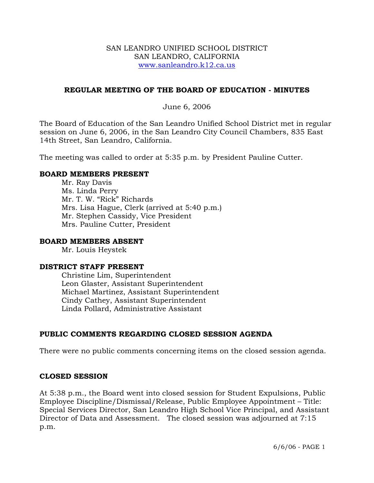#### SAN LEANDRO UNIFIED SCHOOL DISTRICT SAN LEANDRO, CALIFORNIA www.sanleandro.k12.ca.us

# **REGULAR MEETING OF THE BOARD OF EDUCATION - MINUTES**

# June 6, 2006

The Board of Education of the San Leandro Unified School District met in regular session on June 6, 2006, in the San Leandro City Council Chambers, 835 East 14th Street, San Leandro, California.

The meeting was called to order at 5:35 p.m. by President Pauline Cutter.

### **BOARD MEMBERS PRESENT**

Mr. Ray Davis Ms. Linda Perry Mr. T. W. "Rick" Richards Mrs. Lisa Hague, Clerk (arrived at 5:40 p.m.) Mr. Stephen Cassidy, Vice President Mrs. Pauline Cutter, President

#### **BOARD MEMBERS ABSENT**

Mr. Louis Heystek

#### **DISTRICT STAFF PRESENT**

Christine Lim, Superintendent Leon Glaster, Assistant Superintendent Michael Martinez, Assistant Superintendent Cindy Cathey, Assistant Superintendent Linda Pollard, Administrative Assistant

# **PUBLIC COMMENTS REGARDING CLOSED SESSION AGENDA**

There were no public comments concerning items on the closed session agenda.

#### **CLOSED SESSION**

At 5:38 p.m., the Board went into closed session for Student Expulsions, Public Employee Discipline/Dismissal/Release, Public Employee Appointment – Title: Special Services Director, San Leandro High School Vice Principal, and Assistant Director of Data and Assessment. The closed session was adjourned at 7:15 p.m.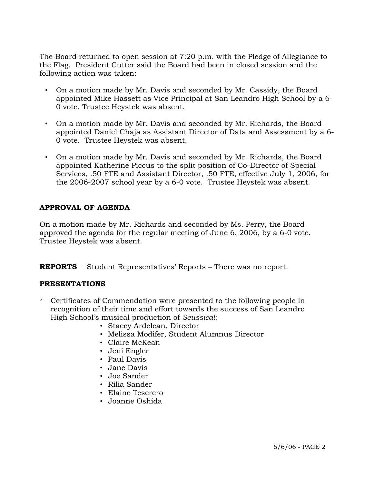The Board returned to open session at 7:20 p.m. with the Pledge of Allegiance to the Flag. President Cutter said the Board had been in closed session and the following action was taken:

- On a motion made by Mr. Davis and seconded by Mr. Cassidy, the Board appointed Mike Hassett as Vice Principal at San Leandro High School by a 6- 0 vote. Trustee Heystek was absent.
- On a motion made by Mr. Davis and seconded by Mr. Richards, the Board appointed Daniel Chaja as Assistant Director of Data and Assessment by a 6- 0 vote. Trustee Heystek was absent.
- On a motion made by Mr. Davis and seconded by Mr. Richards, the Board appointed Katherine Piccus to the split position of Co-Director of Special Services, .50 FTE and Assistant Director, .50 FTE, effective July 1, 2006, for the 2006-2007 school year by a 6-0 vote. Trustee Heystek was absent.

# **APPROVAL OF AGENDA**

On a motion made by Mr. Richards and seconded by Ms. Perry, the Board approved the agenda for the regular meeting of June 6, 2006, by a 6-0 vote. Trustee Heystek was absent.

**REPORTS** Student Representatives' Reports – There was no report.

# **PRESENTATIONS**

- Certificates of Commendation were presented to the following people in recognition of their time and effort towards the success of San Leandro High School's musical production of *Seussical*:
	- Stacey Ardelean, Director
	- Melissa Modifer, Student Alumnus Director
	- Claire McKean
	- Jeni Engler
	- Paul Davis
	- Jane Davis
	- Joe Sander
	- Rilia Sander
	- Elaine Teserero
	- Joanne Oshida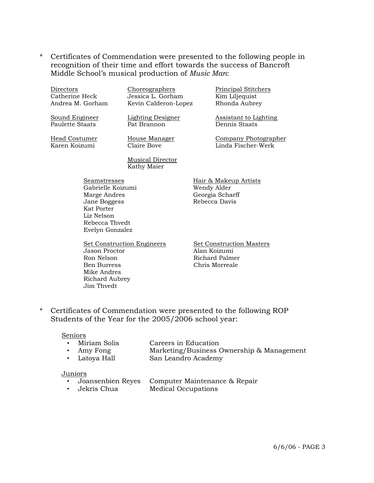\* Certificates of Commendation were presented to the following people in recognition of their time and effort towards the success of Bancroft Middle School's musical production of *Music Man*:

|                                                                                                                                    | Directors<br>Catherine Heck       | Choreographers<br>Jessica L. Gorham     | Principal Stitchers<br>Kim Liljequist                                    |
|------------------------------------------------------------------------------------------------------------------------------------|-----------------------------------|-----------------------------------------|--------------------------------------------------------------------------|
|                                                                                                                                    | Andrea M. Gorham                  | Kevin Calderon-Lopez                    | Rhonda Aubrey                                                            |
|                                                                                                                                    | Sound Engineer<br>Paulette Staats | <b>Lighting Designer</b><br>Pat Brannon | <b>Assistant to Lighting</b><br>Dennis Staats                            |
|                                                                                                                                    | Head Costumer<br>Karen Koizumi    | House Manager<br>Claire Bove            | Company Photographer<br>Linda Fischer-Werk                               |
|                                                                                                                                    |                                   | <b>Musical Director</b><br>Kathy Maier  |                                                                          |
| Seamstresses<br>Gabrielle Koizumi<br>Marge Andres<br>Jane Boggess<br>Kat Porter<br>Liz Nelson<br>Rebecca Thvedt<br>Evelyn Gonzalez |                                   |                                         | Hair & Makeup Artists<br>Wendy Alder<br>Georgia Scharff<br>Rebecca Davis |

Set Construction Engineers<br>
Jason Proctor<br>
Alan Koizumi Jason Proctor Ron Nelson Richard Palmer<br>Ben Burress Richard Palmer<br>Chris Morreale Mike Andres Richard Aubrey Jim Thvedt

Chris Morreale

\* Certificates of Commendation were presented to the following ROP Students of the Year for the 2005/2006 school year:

#### Seniors

- Miriam Solis Careers in Education
- Amy Fong Marketing/Business Ownership & Management
- Latoya Hall San Leandro Academy

#### Juniors

- Joansenbien Reyes Computer Maintenance & Repair
- Jekris Chua Medical Occupations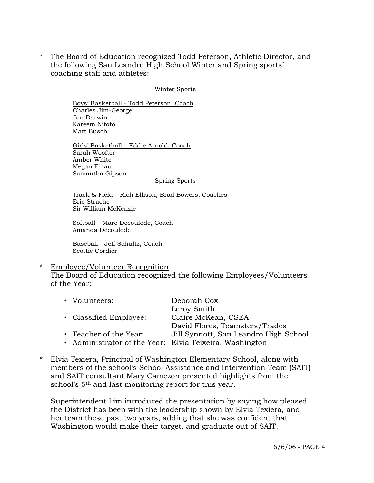\* The Board of Education recognized Todd Peterson, Athletic Director, and the following San Leandro High School Winter and Spring sports' coaching staff and athletes:

#### Winter Sports

 Boys' Basketball - Todd Peterson, Coach Charles Jim-George Jon Darwin Kareem Nitoto Matt Busch

 Girls' Basketball – Eddie Arnold, Coach Sarah Woofter Amber White Megan Finau Samantha Gipson

#### Spring Sports

 Track & Field – Rich Ellison, Brad Bowers, Coaches Eric Strache Sir William McKenzie

 Softball – Marc Decoulode, Coach Amanda Decoulode

 Baseball - Jeff Schultz, Coach Scottie Cordier

#### Employee/Volunteer Recognition

 The Board of Education recognized the following Employees/Volunteers of the Year:

| • Volunteers:          | Deborah Cox                                             |
|------------------------|---------------------------------------------------------|
|                        | Leroy Smith                                             |
| • Classified Employee: | Claire McKean, CSEA                                     |
|                        | David Flores, Teamsters/Trades                          |
| • Teacher of the Year: | Jill Synnott, San Leandro High School                   |
|                        | • Administrator of the Year: Elvia Teixeira, Washington |

\* Elvia Texiera, Principal of Washington Elementary School, along with members of the school's School Assistance and Intervention Team (SAIT) and SAIT consultant Mary Camezon presented highlights from the school's 5<sup>th</sup> and last monitoring report for this year.

 Superintendent Lim introduced the presentation by saying how pleased the District has been with the leadership shown by Elvia Texiera, and her team these past two years, adding that she was confident that Washington would make their target, and graduate out of SAIT.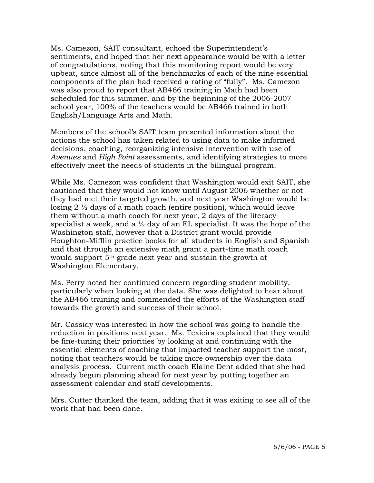Ms. Camezon, SAIT consultant, echoed the Superintendent's sentiments, and hoped that her next appearance would be with a letter of congratulations, noting that this monitoring report would be very upbeat, since almost all of the benchmarks of each of the nine essential components of the plan had received a rating of "fully". Ms. Camezon was also proud to report that AB466 training in Math had been scheduled for this summer, and by the beginning of the 2006-2007 school year, 100% of the teachers would be AB466 trained in both English/Language Arts and Math.

 Members of the school's SAIT team presented information about the actions the school has taken related to using data to make informed decisions, coaching, reorganizing intensive intervention with use of *Avenues* and *High Point* assessments, and identifying strategies to more effectively meet the needs of students in the bilingual program.

 While Ms. Camezon was confident that Washington would exit SAIT, she cautioned that they would not know until August 2006 whether or not they had met their targeted growth, and next year Washington would be losing 2  $\frac{1}{2}$  days of a math coach (entire position), which would leave them without a math coach for next year, 2 days of the literacy specialist a week, and a  $\frac{1}{2}$  day of an EL specialist. It was the hope of the Washington staff, however that a District grant would provide Houghton-Mifflin practice books for all students in English and Spanish and that through an extensive math grant a part-time math coach would support 5th grade next year and sustain the growth at Washington Elementary.

 Ms. Perry noted her continued concern regarding student mobility, particularly when looking at the data. She was delighted to hear about the AB466 training and commended the efforts of the Washington staff towards the growth and success of their school.

 Mr. Cassidy was interested in how the school was going to handle the reduction in positions next year. Ms. Texieira explained that they would be fine-tuning their priorities by looking at and continuing with the essential elements of coaching that impacted teacher support the most, noting that teachers would be taking more ownership over the data analysis process. Current math coach Elaine Dent added that she had already begun planning ahead for next year by putting together an assessment calendar and staff developments.

 Mrs. Cutter thanked the team, adding that it was exiting to see all of the work that had been done.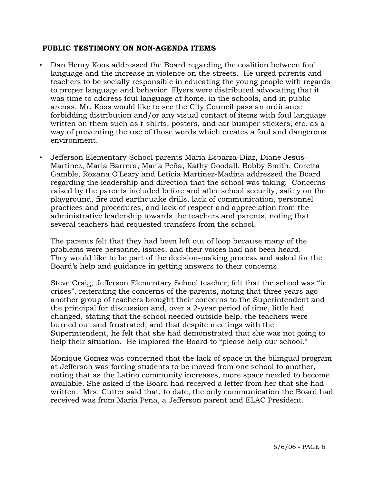### **PUBLIC TESTIMONY ON NON-AGENDA ITEMS**

- Dan Henry Koos addressed the Board regarding the coalition between foul language and the increase in violence on the streets. He urged parents and teachers to be socially responsible in educating the young people with regards to proper language and behavior. Flyers were distributed advocating that it was time to address foul language at home, in the schools, and in public arenas. Mr. Koos would like to see the City Council pass an ordinance forbidding distribution and/or any visual contact of items with foul language written on them such as t-shirts, posters, and car bumper stickers, etc. as a way of preventing the use of those words which creates a foul and dangerous environment.
- Jefferson Elementary School parents Maria Esparza-Diaz, Diane Jesus-Martinez, Maria Barrera, Maria Peña, Kathy Goodall, Bobby Smith, Coretta Gamble, Roxana O'Leary and Leticia Martinez-Madina addressed the Board regarding the leadership and direction that the school was taking. Concerns raised by the parents included before and after school security, safety on the playground, fire and earthquake drills, lack of communication, personnel practices and procedures, and lack of respect and appreciation from the administrative leadership towards the teachers and parents, noting that several teachers had requested transfers from the school.

 The parents felt that they had been left out of loop because many of the problems were personnel issues, and their voices had not been heard. They would like to be part of the decision-making process and asked for the Board's help and guidance in getting answers to their concerns.

 Steve Craig, Jefferson Elementary School teacher, felt that the school was "in crises", reiterating the concerns of the parents, noting that three years ago another group of teachers brought their concerns to the Superintendent and the principal for discussion and, over a 2-year period of time, little had changed, stating that the school needed outside help, the teachers were burned out and frustrated, and that despite meetings with the Superintendent, he felt that she had demonstrated that she was not going to help their situation. He implored the Board to "please help our school."

 Monique Gomez was concerned that the lack of space in the bilingual program at Jefferson was forcing students to be moved from one school to another, noting that as the Latino community increases, more space needed to become available. She asked if the Board had received a letter from her that she had written. Mrs. Cutter said that, to date, the only communication the Board had received was from Maria Peña, a Jefferson parent and ELAC President.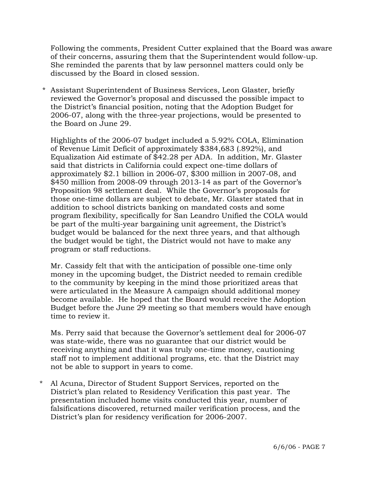Following the comments, President Cutter explained that the Board was aware of their concerns, assuring them that the Superintendent would follow-up. She reminded the parents that by law personnel matters could only be discussed by the Board in closed session.

\* Assistant Superintendent of Business Services, Leon Glaster, briefly reviewed the Governor's proposal and discussed the possible impact to the District's financial position, noting that the Adoption Budget for 2006-07, along with the three-year projections, would be presented to the Board on June 29.

 Highlights of the 2006-07 budget included a 5.92% COLA, Elimination of Revenue Limit Deficit of approximately \$384,683 (.892%), and Equalization Aid estimate of \$42.28 per ADA. In addition, Mr. Glaster said that districts in California could expect one-time dollars of approximately \$2.1 billion in 2006-07, \$300 million in 2007-08, and \$450 million from 2008-09 through 2013-14 as part of the Governor's Proposition 98 settlement deal. While the Governor's proposals for those one-time dollars are subject to debate, Mr. Glaster stated that in addition to school districts banking on mandated costs and some program flexibility, specifically for San Leandro Unified the COLA would be part of the multi-year bargaining unit agreement, the District's budget would be balanced for the next three years, and that although the budget would be tight, the District would not have to make any program or staff reductions.

 Mr. Cassidy felt that with the anticipation of possible one-time only money in the upcoming budget, the District needed to remain credible to the community by keeping in the mind those prioritized areas that were articulated in the Measure A campaign should additional money become available. He hoped that the Board would receive the Adoption Budget before the June 29 meeting so that members would have enough time to review it.

 Ms. Perry said that because the Governor's settlement deal for 2006-07 was state-wide, there was no guarantee that our district would be receiving anything and that it was truly one-time money, cautioning staff not to implement additional programs, etc. that the District may not be able to support in years to come.

\* Al Acuna, Director of Student Support Services, reported on the District's plan related to Residency Verification this past year. The presentation included home visits conducted this year, number of falsifications discovered, returned mailer verification process, and the District's plan for residency verification for 2006-2007.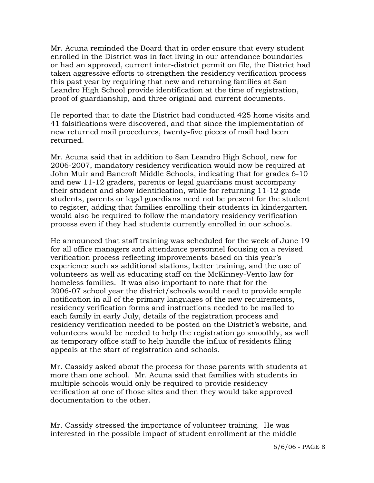Mr. Acuna reminded the Board that in order ensure that every student enrolled in the District was in fact living in our attendance boundaries or had an approved, current inter-district permit on file, the District had taken aggressive efforts to strengthen the residency verification process this past year by requiring that new and returning families at San Leandro High School provide identification at the time of registration, proof of guardianship, and three original and current documents.

 He reported that to date the District had conducted 425 home visits and 41 falsifications were discovered, and that since the implementation of new returned mail procedures, twenty-five pieces of mail had been returned.

 Mr. Acuna said that in addition to San Leandro High School, new for 2006-2007, mandatory residency verification would now be required at John Muir and Bancroft Middle Schools, indicating that for grades 6-10 and new 11-12 graders, parents or legal guardians must accompany their student and show identification, while for returning 11-12 grade students, parents or legal guardians need not be present for the student to register, adding that families enrolling their students in kindergarten would also be required to follow the mandatory residency verification process even if they had students currently enrolled in our schools.

 He announced that staff training was scheduled for the week of June 19 for all office managers and attendance personnel focusing on a revised verification process reflecting improvements based on this year's experience such as additional stations, better training, and the use of volunteers as well as educating staff on the McKinney-Vento law for homeless families. It was also important to note that for the 2006-07 school year the district/schools would need to provide ample notification in all of the primary languages of the new requirements, residency verification forms and instructions needed to be mailed to each family in early July, details of the registration process and residency verification needed to be posted on the District's website, and volunteers would be needed to help the registration go smoothly, as well as temporary office staff to help handle the influx of residents filing appeals at the start of registration and schools.

 Mr. Cassidy asked about the process for those parents with students at more than one school. Mr. Acuna said that families with students in multiple schools would only be required to provide residency verification at one of those sites and then they would take approved documentation to the other.

 Mr. Cassidy stressed the importance of volunteer training. He was interested in the possible impact of student enrollment at the middle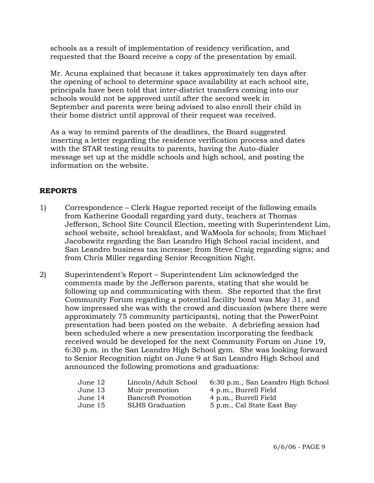schools as a result of implementation of residency verification, and requested that the Board receive a copy of the presentation by email.

 Mr. Acuna explained that because it takes approximately ten days after the opening of school to determine space availability at each school site, principals have been told that inter-district transfers coming into our schools would not be approved until after the second week in September and parents were being advised to also enroll their child in their home district until approval of their request was received.

 As a way to remind parents of the deadlines, the Board suggested inserting a letter regarding the residence verification process and dates with the STAR testing results to parents, having the Auto-dialer message set up at the middle schools and high school, and posting the information on the website.

### **REPORTS**

- 1) Correspondence Clerk Hague reported receipt of the following emails from Katherine Goodall regarding yard duty, teachers at Thomas Jefferson, School Site Council Election, meeting with Superintendent Lim, school website, school breakfast, and WaMoola for schools; from Michael Jacobowitz regarding the San Leandro High School racial incident, and San Leandro business tax increase; from Steve Craig regarding signs; and from Chris Miller regarding Senior Recognition Night.
- 2) Superintendent's Report Superintendent Lim acknowledged the comments made by the Jefferson parents, stating that she would be following up and communicating with them. She reported that the first Community Forum regarding a potential facility bond was May 31, and how impressed she was with the crowd and discussion (where there were approximately 75 community participants), noting that the PowerPoint presentation had been posted on the website. A debriefing session had been scheduled where a new presentation incorporating the feedback received would be developed for the next Community Forum on June 19, 6:30 p.m. in the San Leandro High School gym. She was looking forward to Senior Recognition night on June 9 at San Leandro High School and announced the following promotions and graduations:

| June 12 | Lincoln/Adult School      | 6:30 p.m., San Leandro High School |
|---------|---------------------------|------------------------------------|
| June 13 | Muir promotion            | 4 p.m., Burrell Field              |
| June 14 | <b>Bancroft Promotion</b> | 4 p.m., Burrell Field              |
| June 15 | <b>SLHS Graduation</b>    | 5 p.m., Cal State East Bay         |
|         |                           |                                    |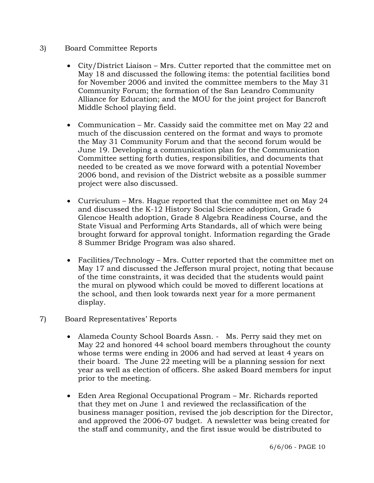- 3) Board Committee Reports
	- City/District Liaison Mrs. Cutter reported that the committee met on May 18 and discussed the following items: the potential facilities bond for November 2006 and invited the committee members to the May 31 Community Forum; the formation of the San Leandro Community Alliance for Education; and the MOU for the joint project for Bancroft Middle School playing field.
	- Communication Mr. Cassidy said the committee met on May 22 and much of the discussion centered on the format and ways to promote the May 31 Community Forum and that the second forum would be June 19. Developing a communication plan for the Communication Committee setting forth duties, responsibilities, and documents that needed to be created as we move forward with a potential November 2006 bond, and revision of the District website as a possible summer project were also discussed.
	- Curriculum Mrs. Hague reported that the committee met on May 24 and discussed the K-12 History Social Science adoption, Grade 6 Glencoe Health adoption, Grade 8 Algebra Readiness Course, and the State Visual and Performing Arts Standards, all of which were being brought forward for approval tonight. Information regarding the Grade 8 Summer Bridge Program was also shared.
	- Facilities/Technology Mrs. Cutter reported that the committee met on May 17 and discussed the Jefferson mural project, noting that because of the time constraints, it was decided that the students would paint the mural on plywood which could be moved to different locations at the school, and then look towards next year for a more permanent display.

# 7) Board Representatives' Reports

- Alameda County School Boards Assn. Ms. Perry said they met on May 22 and honored 44 school board members throughout the county whose terms were ending in 2006 and had served at least 4 years on their board. The June 22 meeting will be a planning session for next year as well as election of officers. She asked Board members for input prior to the meeting.
- Eden Area Regional Occupational Program Mr. Richards reported that they met on June 1 and reviewed the reclassification of the business manager position, revised the job description for the Director, and approved the 2006-07 budget. A newsletter was being created for the staff and community, and the first issue would be distributed to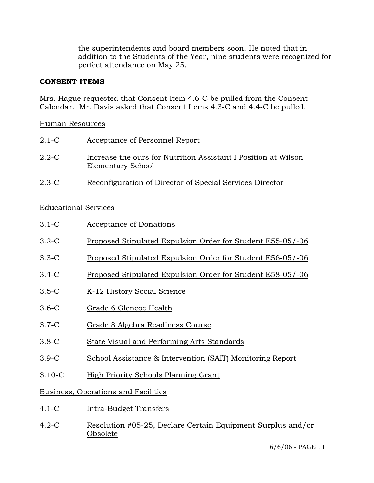the superintendents and board members soon. He noted that in addition to the Students of the Year, nine students were recognized for perfect attendance on May 25.

### **CONSENT ITEMS**

Mrs. Hague requested that Consent Item 4.6-C be pulled from the Consent Calendar. Mr. Davis asked that Consent Items 4.3-C and 4.4-C be pulled.

### Human Resources

| $2.1-C$   | Acceptance of Personnel Report                                                      |
|-----------|-------------------------------------------------------------------------------------|
| $2.2 - C$ | Increase the ours for Nutrition Assistant I Position at Wilson<br>Elementary School |
| $2.3 - C$ | Reconfiguration of Director of Special Services Director                            |

# Educational Services

| $3.1-C$                             | <u>Acceptance of Donations</u>                             |  |  |
|-------------------------------------|------------------------------------------------------------|--|--|
| $3.2-C$                             | Proposed Stipulated Expulsion Order for Student E55-05/-06 |  |  |
| $3.3-C$                             | Proposed Stipulated Expulsion Order for Student E56-05/-06 |  |  |
| $3.4-C$                             | Proposed Stipulated Expulsion Order for Student E58-05/-06 |  |  |
| $3.5-C$                             | K-12 History Social Science                                |  |  |
| $3.6-C$                             | Grade 6 Glencoe Health                                     |  |  |
| $3.7-C$                             | Grade 8 Algebra Readiness Course                           |  |  |
| $3.8-C$                             | State Visual and Performing Arts Standards                 |  |  |
| $3.9-C$                             | School Assistance & Intervention (SAIT) Monitoring Report  |  |  |
| $3.10 - C$                          | High Priority Schools Planning Grant                       |  |  |
| Business, Operations and Facilities |                                                            |  |  |
| $4.1 - C$                           | <b>Intra-Budget Transfers</b>                              |  |  |

4.2-C Resolution #05-25, Declare Certain Equipment Surplus and/or Obsolete

6/6/06 - PAGE 11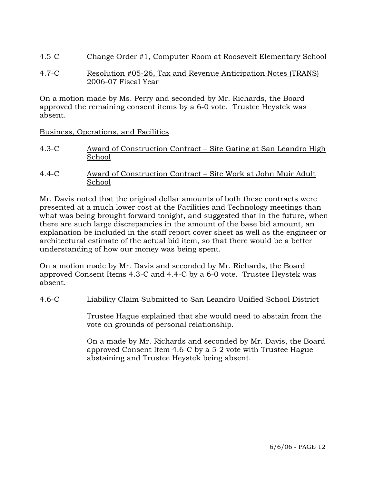4.5-C Change Order #1, Computer Room at Roosevelt Elementary School

### 4.7-C Resolution #05-26, Tax and Revenue Anticipation Notes (TRANS) 2006-07 Fiscal Year

On a motion made by Ms. Perry and seconded by Mr. Richards, the Board approved the remaining consent items by a 6-0 vote. Trustee Heystek was absent.

Business, Operations, and Facilities

- 4.3-C Award of Construction Contract Site Gating at San Leandro High School
- 4.4-C Award of Construction Contract Site Work at John Muir Adult School

Mr. Davis noted that the original dollar amounts of both these contracts were presented at a much lower cost at the Facilities and Technology meetings than what was being brought forward tonight, and suggested that in the future, when there are such large discrepancies in the amount of the base bid amount, an explanation be included in the staff report cover sheet as well as the engineer or architectural estimate of the actual bid item, so that there would be a better understanding of how our money was being spent.

On a motion made by Mr. Davis and seconded by Mr. Richards, the Board approved Consent Items 4.3-C and 4.4-C by a 6-0 vote. Trustee Heystek was absent.

# 4.6-C Liability Claim Submitted to San Leandro Unified School District

Trustee Hague explained that she would need to abstain from the vote on grounds of personal relationship.

On a made by Mr. Richards and seconded by Mr. Davis, the Board approved Consent Item 4.6-C by a 5-2 vote with Trustee Hague abstaining and Trustee Heystek being absent.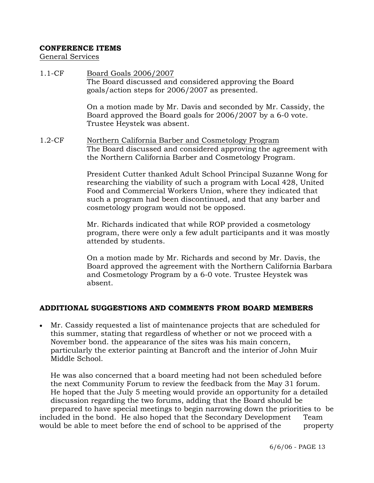### **CONFERENCE ITEMS**

General Services

1.1-CF Board Goals 2006/2007 The Board discussed and considered approving the Board goals/action steps for 2006/2007 as presented. On a motion made by Mr. Davis and seconded by Mr. Cassidy, the Board approved the Board goals for 2006/2007 by a 6-0 vote. Trustee Heystek was absent. 1.2-CF Northern California Barber and Cosmetology Program The Board discussed and considered approving the agreement with the Northern California Barber and Cosmetology Program. President Cutter thanked Adult School Principal Suzanne Wong for researching the viability of such a program with Local 428, United Food and Commercial Workers Union, where they indicated that such a program had been discontinued, and that any barber and

> Mr. Richards indicated that while ROP provided a cosmetology program, there were only a few adult participants and it was mostly attended by students.

On a motion made by Mr. Richards and second by Mr. Davis, the Board approved the agreement with the Northern California Barbara and Cosmetology Program by a 6-0 vote. Trustee Heystek was absent.

# **ADDITIONAL SUGGESTIONS AND COMMENTS FROM BOARD MEMBERS**

cosmetology program would not be opposed.

• Mr. Cassidy requested a list of maintenance projects that are scheduled for this summer, stating that regardless of whether or not we proceed with a November bond. the appearance of the sites was his main concern, particularly the exterior painting at Bancroft and the interior of John Muir Middle School.

 He was also concerned that a board meeting had not been scheduled before the next Community Forum to review the feedback from the May 31 forum. He hoped that the July 5 meeting would provide an opportunity for a detailed discussion regarding the two forums, adding that the Board should be prepared to have special meetings to begin narrowing down the priorities to be included in the bond. He also hoped that the Secondary Development Team would be able to meet before the end of school to be apprised of the property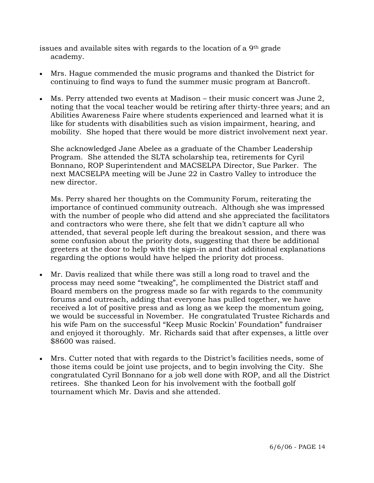issues and available sites with regards to the location of a 9th grade academy.

- Mrs. Hague commended the music programs and thanked the District for continuing to find ways to fund the summer music program at Bancroft.
- Ms. Perry attended two events at Madison their music concert was June 2, noting that the vocal teacher would be retiring after thirty-three years; and an Abilities Awareness Faire where students experienced and learned what it is like for students with disabilities such as vision impairment, hearing, and mobility. She hoped that there would be more district involvement next year.

 She acknowledged Jane Abelee as a graduate of the Chamber Leadership Program. She attended the SLTA scholarship tea, retirements for Cyril Bonnano, ROP Superintendent and MACSELPA Director, Sue Parker. The next MACSELPA meeting will be June 22 in Castro Valley to introduce the new director.

Ms. Perry shared her thoughts on the Community Forum, reiterating the importance of continued community outreach. Although she was impressed with the number of people who did attend and she appreciated the facilitators and contractors who were there, she felt that we didn't capture all who attended, that several people left during the breakout session, and there was some confusion about the priority dots, suggesting that there be additional greeters at the door to help with the sign-in and that additional explanations regarding the options would have helped the priority dot process.

- Mr. Davis realized that while there was still a long road to travel and the process may need some "tweaking", he complimented the District staff and Board members on the progress made so far with regards to the community forums and outreach, adding that everyone has pulled together, we have received a lot of positive press and as long as we keep the momentum going, we would be successful in November. He congratulated Trustee Richards and his wife Pam on the successful "Keep Music Rockin' Foundation" fundraiser and enjoyed it thoroughly. Mr. Richards said that after expenses, a little over \$8600 was raised.
- Mrs. Cutter noted that with regards to the District's facilities needs, some of those items could be joint use projects, and to begin involving the City. She congratulated Cyril Bonnano for a job well done with ROP, and all the District retirees. She thanked Leon for his involvement with the football golf tournament which Mr. Davis and she attended.